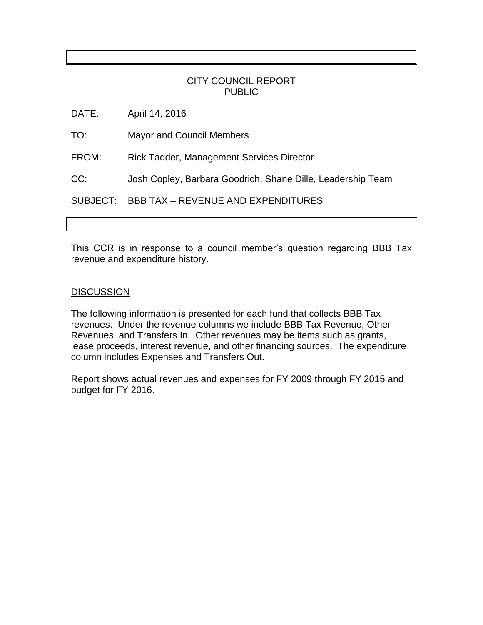#### CITY COUNCIL REPORT PUBLIC

DATE: April 14, 2016

TO: Mayor and Council Members

FROM: Rick Tadder, Management Services Director

CC: Josh Copley, Barbara Goodrich, Shane Dille, Leadership Team

SUBJECT: BBB TAX – REVENUE AND EXPENDITURES

This CCR is in response to a council member's question regarding BBB Tax revenue and expenditure history.

#### **DISCUSSION**

The following information is presented for each fund that collects BBB Tax revenues. Under the revenue columns we include BBB Tax Revenue, Other Revenues, and Transfers In. Other revenues may be items such as grants, lease proceeds, interest revenue, and other financing sources. The expenditure column includes Expenses and Transfers Out.

Report shows actual revenues and expenses for FY 2009 through FY 2015 and budget for FY 2016.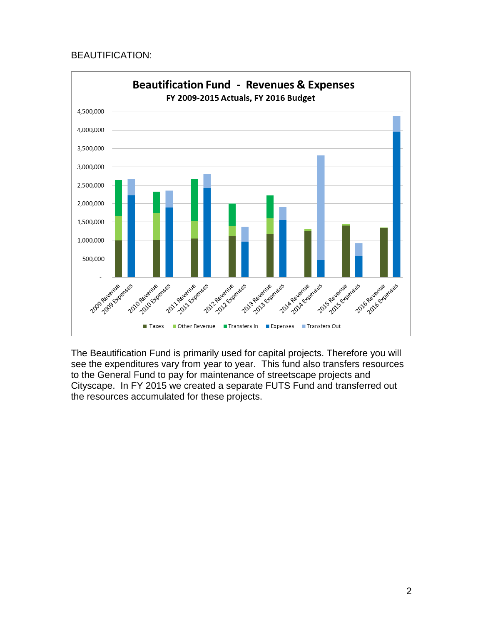### BEAUTIFICATION:



The Beautification Fund is primarily used for capital projects. Therefore you will see the expenditures vary from year to year. This fund also transfers resources to the General Fund to pay for maintenance of streetscape projects and Cityscape. In FY 2015 we created a separate FUTS Fund and transferred out the resources accumulated for these projects.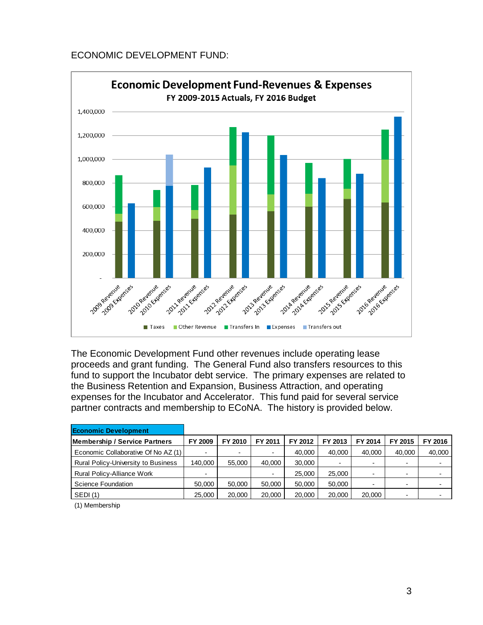# ECONOMIC DEVELOPMENT FUND:



The Economic Development Fund other revenues include operating lease proceeds and grant funding. The General Fund also transfers resources to this fund to support the Incubator debt service. The primary expenses are related to the Business Retention and Expansion, Business Attraction, and operating expenses for the Incubator and Accelerator. This fund paid for several service partner contracts and membership to ECoNA. The history is provided below.

| <b>Economic Development</b>         |                |                          |         |         |         |                          |                          |         |
|-------------------------------------|----------------|--------------------------|---------|---------|---------|--------------------------|--------------------------|---------|
| Membership / Service Partners       | FY 2009        | FY 2010                  | FY 2011 | FY 2012 | FY 2013 | FY 2014                  | FY 2015                  | FY 2016 |
| Economic Collaborative Of No AZ (1) | $\blacksquare$ | $\overline{\phantom{a}}$ |         | 40.000  | 40.000  | 40,000                   | 40.000                   | 40,000  |
| Rural Policy-University to Business | 140,000        | 55,000                   | 40,000  | 30,000  |         | $\overline{\phantom{0}}$ | $\overline{\phantom{a}}$ |         |
| <b>Rural Policy-Alliance Work</b>   | $\blacksquare$ |                          |         | 25,000  | 25,000  | $\overline{\phantom{0}}$ |                          |         |
| Science Foundation                  | 50.000         | 50.000                   | 50,000  | 50,000  | 50.000  | $\overline{\phantom{0}}$ | $\sim$                   |         |
| <b>SEDI</b> (1)                     | 25,000         | 20,000                   | 20,000  | 20,000  | 20,000  | 20,000                   | $\overline{\phantom{a}}$ |         |

(1) Membership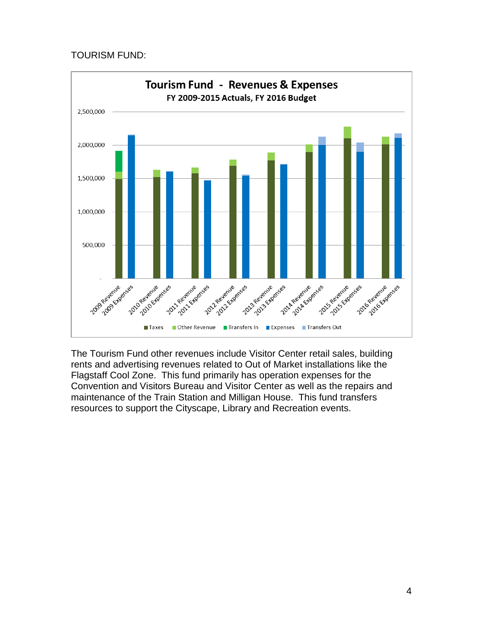### TOURISM FUND:



The Tourism Fund other revenues include Visitor Center retail sales, building rents and advertising revenues related to Out of Market installations like the Flagstaff Cool Zone. This fund primarily has operation expenses for the Convention and Visitors Bureau and Visitor Center as well as the repairs and maintenance of the Train Station and Milligan House. This fund transfers resources to support the Cityscape, Library and Recreation events.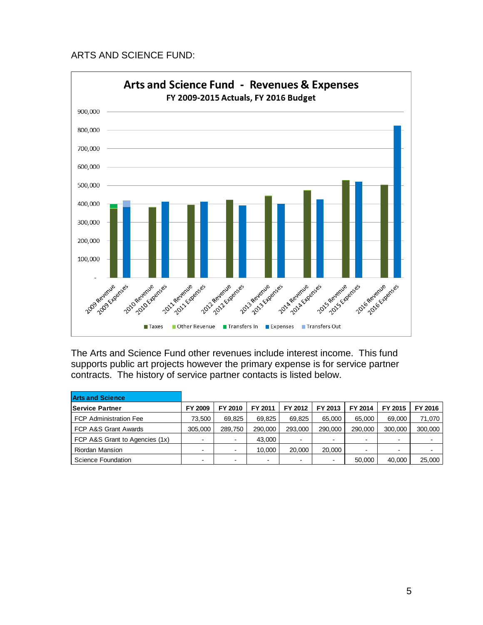### ARTS AND SCIENCE FUND:



The Arts and Science Fund other revenues include interest income. This fund supports public art projects however the primary expense is for service partner contracts. The history of service partner contacts is listed below.

| <b>Arts and Science</b>        |                          |         |         |                          |         |                          |         |         |
|--------------------------------|--------------------------|---------|---------|--------------------------|---------|--------------------------|---------|---------|
| <b>Service Partner</b>         | FY 2009                  | FY 2010 | FY 2011 | FY 2012                  | FY 2013 | FY 2014                  | FY 2015 | FY 2016 |
| <b>FCP Administration Fee</b>  | 73.500                   | 69.825  | 69.825  | 69.825                   | 65.000  | 65.000                   | 69.000  | 71.070  |
| FCP A&S Grant Awards           | 305.000                  | 289.750 | 290,000 | 293,000                  | 290,000 | 290.000                  | 300,000 | 300,000 |
| FCP A&S Grant to Agencies (1x) | $\overline{\phantom{0}}$ |         | 43.000  | $\blacksquare$           |         | $\blacksquare$           |         |         |
| <b>Riordan Mansion</b>         | $\,$                     |         | 10.000  | 20,000                   | 20,000  | $\overline{\phantom{0}}$ | -       |         |
| Science Foundation             | $\blacksquare$           |         | -       | $\overline{\phantom{a}}$ |         | 50,000                   | 40,000  | 25,000  |